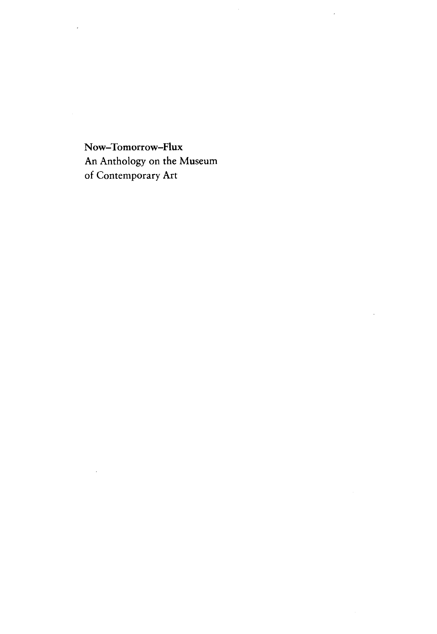Now-Tomorrow-Flux An Anthology on the Museum of Contemporary Art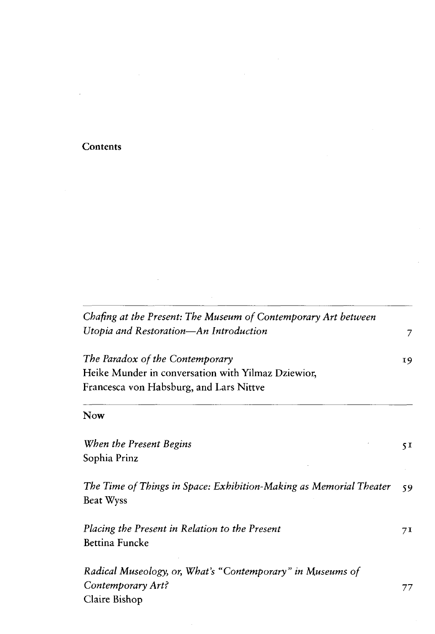## **Contents**

| Chafing at the Present: The Museum of Contemporary Art between                         |    |  |
|----------------------------------------------------------------------------------------|----|--|
| Utopia and Restoration-An Introduction                                                 | 7  |  |
| The Paradox of the Contemporary                                                        | 19 |  |
| Heike Munder in conversation with Yilmaz Dziewior,                                     |    |  |
| Francesca von Habsburg, and Lars Nittve                                                |    |  |
| Now                                                                                    |    |  |
| When the Present Begins                                                                | 5I |  |
| Sophia Prinz                                                                           |    |  |
| The Time of Things in Space: Exhibition-Making as Memorial Theater<br><b>Beat Wyss</b> | 59 |  |
| Placing the Present in Relation to the Present                                         | 71 |  |
| Bettina Funcke                                                                         |    |  |
| Radical Museology, or, What's "Contemporary" in Museums of                             |    |  |
| Contemporary Art?                                                                      | 77 |  |
| Claire Bishop                                                                          |    |  |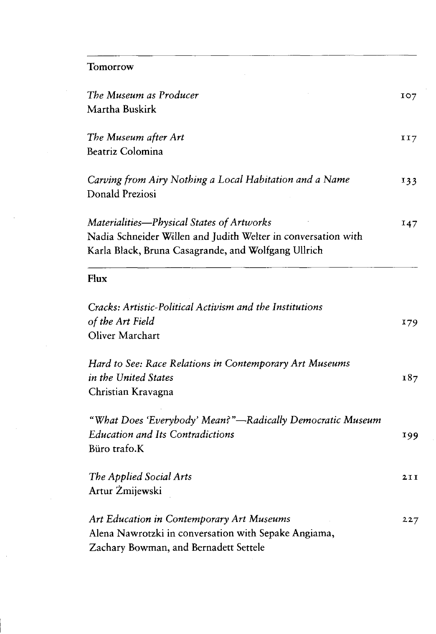$\label{eq:2.1} \frac{1}{\sqrt{2}}\int_{\mathbb{R}^{2}}\left|\frac{d\mathbf{x}}{d\mathbf{x}}\right|^{2}d\mathbf{x}^{2}d\mathbf{x}^{2}d\mathbf{x}^{2}d\mathbf{x}^{2}d\mathbf{x}^{2}d\mathbf{x}^{2}d\mathbf{x}^{2}d\mathbf{x}^{2}d\mathbf{x}^{2}d\mathbf{x}^{2}d\mathbf{x}^{2}d\mathbf{x}^{2}d\mathbf{x}^{2}d\mathbf{x}^{2}d\mathbf{x}^{2}d\mathbf{x}^{2}d\mathbf{x}^{2}d\mathbf{x}^{2}d\math$ 

| The Museum as Producer<br>Martha Buskirk                                                                                                                          | IO7 |
|-------------------------------------------------------------------------------------------------------------------------------------------------------------------|-----|
| The Museum after Art<br>Beatriz Colomina                                                                                                                          | II7 |
| Carving from Airy Nothing a Local Habitation and a Name<br>Donald Preziosi                                                                                        | 133 |
| Materialities-Physical States of Artworks<br>Nadia Schneider Willen and Judith Welter in conversation with<br>Karla Black, Bruna Casagrande, and Wolfgang Ullrich | 147 |
| Flux                                                                                                                                                              |     |
| Cracks: Artistic-Political Activism and the Institutions<br>of the Art Field<br>Oliver Marchart                                                                   | 179 |
| Hard to See: Race Relations in Contemporary Art Museums<br>in the United States<br>Christian Kravagna                                                             | 187 |
| "What Does 'Everybody' Mean?"—Radically Democratic Museum<br><b>Education and Its Contradictions</b><br>Büro trafo.K                                              | 199 |
| The Applied Social Arts<br>Artur Żmijewski                                                                                                                        | 2II |
| Art Education in Contemporary Art Museums<br>Alena Nawrotzki in conversation with Sepake Angiama,<br>Zachary Bowman, and Bernadett Settele                        | 227 |